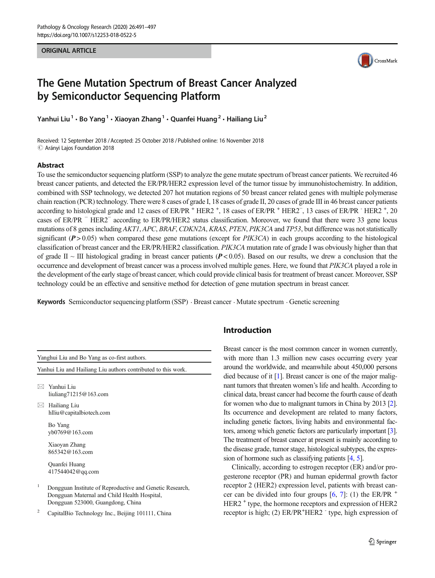**ORIGINAL ARTICLE** ORIGINAL ARTICLE



# The Gene Mutation Spectrum of Breast Cancer Analyzed by Semiconductor Sequencing Platform

Yanhui Liu<sup>1</sup> · Bo Yang<sup>1</sup> · Xiaoyan Zhang<sup>1</sup> · Quanfei Huang<sup>2</sup> · Hailiang Liu<sup>2</sup>

Received: 12 September 2018 /Accepted: 25 October 2018 /Published online: 16 November 2018  $\odot$  Arányi Lajos Foundation 2018

## Abstract

To use the semiconductor sequencing platform (SSP) to analyze the gene mutate spectrum of breast cancer patients. We recruited 46 breast cancer patients, and detected the ER/PR/HER2 expression level of the tumor tissue by immunohistochemistry. In addition, combined with SSP technology, we detected 207 hot mutation regions of 50 breast cancer related genes with multiple polymerase chain reaction (PCR) technology. There were 8 cases of grade I, 18 cases of grade II, 20 cases of grade III in 46 breast cancer patients according to histological grade and 12 cases of ER/PR<sup>+</sup> HER2<sup>+</sup>, 18 cases of ER/PR<sup>+</sup> HER2<sup>-</sup>, 13 cases of ER/PR + HER2<sup>+</sup>, 20 cases of ER/PR <sup>−</sup> HER2<sup>−</sup> according to ER/PR/HER2 status classification. Moreover, we found that there were 33 gene locus mutations of 8 genes including AKT1, APC, BRAF, CDKN2A, KRAS, PTEN, PIK3CA and TP53, but difference was not statistically significant  $(P > 0.05)$  when compared these gene mutations (except for PIK3CA) in each groups according to the histological classification of breast cancer and the ER/PR/HER2 classification. PIK3CA mutation rate of grade I was obviously higher than that of grade II ~ III histological grading in breast cancer patients ( $P < 0.05$ ). Based on our results, we drew a conclusion that the occurrence and development of breast cancer was a process involved multiple genes. Here, we found that PIK3CA played a role in the development of the early stage of breast cancer, which could provide clinical basis for treatment of breast cancer. Moreover, SSP technology could be an effective and sensitive method for detection of gene mutation spectrum in breast cancer.

Keywords Semiconductor sequencing platform (SSP) . Breast cancer . Mutate spectrum . Genetic screening

Yanghui Liu and Bo Yang as co-first authors. Yanhui Liu and Hailiang Liu authors contributed to this work.

 $\boxtimes$  Yanhui Liu [liuliang71215@163.com](mailto:liuliang71215@163.com)

 $\boxtimes$  Hailiang Liu [hlliu@capitalbiotech.com](mailto:hlliu@capitalbiotech.com)

> Bo Yang yb0769@163.com

> Xiaoyan Zhang 865342@163.com

Quanfei Huang 417544042@qq.com

- <sup>1</sup> Dongguan Institute of Reproductive and Genetic Research, Dongguan Maternal and Child Health Hospital, Dongguan 523000, Guangdong, China
- <sup>2</sup> CapitalBio Technology Inc., Beijing 101111, China

# Introduction

Breast cancer is the most common cancer in women currently, with more than 1.3 million new cases occurring every year around the worldwide, and meanwhile about 450,000 persons died because of it [[1\]](#page-5-0). Breast cancer is one of the major malignant tumors that threaten women's life and health. According to clinical data, breast cancer had become the fourth cause of death for women who due to malignant tumors in China by 2013 [\[2\]](#page-5-0). Its occurrence and development are related to many factors, including genetic factors, living habits and environmental factors, among which genetic factors are particularly important [\[3\]](#page-5-0). The treatment of breast cancer at present is mainly according to the disease grade, tumor stage, histological subtypes, the expression of hormone such as classifying patients [[4](#page-5-0), [5](#page-5-0)].

Clinically, according to estrogen receptor (ER) and/or progesterone receptor (PR) and human epidermal growth factor receptor 2 (HER2) expression level, patients with breast cancer can be divided into four groups  $[6, 7]$  $[6, 7]$  $[6, 7]$  $[6, 7]$  $[6, 7]$ : (1) the ER/PR  $^+$ HER2<sup>+</sup> type, the hormone receptors and expression of HER2 receptor is high; (2) ER/PR<sup>+</sup>HER2 <sup>-</sup> type, high expression of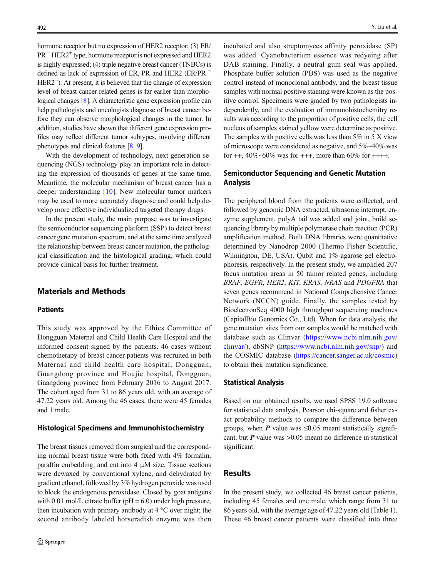hormone receptor but no expression of HER2 receptor; (3) ER/ PR <sup>–</sup> HER2<sup>+</sup> type, hormone receptor is not expressed and HER2 is highly expressed; (4) triple negative breast cancer (TNBCs) is defined as lack of expression of ER, PR and HER2 (ER/PR  $⁻$ HER2 <sup>-</sup>). At present, it is believed that the change of expression level of breast cancer related genes is far earlier than morphological changes [\[8\]](#page-6-0). A characteristic gene expression profile can help pathologists and oncologists diagnose of breast cancer before they can observe morphological changes in the tumor. In addition, studies have shown that different gene expression profiles may reflect different tumor subtypes, involving different phenotypes and clinical features [\[8](#page-6-0), [9\]](#page-6-0).

With the development of technology, next generation sequencing (NGS) technology play an important role in detecting the expression of thousands of genes at the same time. Meantime, the molecular mechanism of breast cancer has a deeper understanding [[10](#page-6-0)]. New molecular tumor markers may be used to more accurately diagnose and could help develop more effective individualized targeted therapy drugs.

In the present study, the main purpose was to investigate the semiconductor sequencing platform (SSP) to detect breast cancer gene mutation spectrum, and at the same time analyzed the relationship between breast cancer mutation, the pathological classification and the histological grading, which could provide clinical basis for further treatment.

## Materials and Methods

#### **Patients**

This study was approved by the Ethics Committee of Dongguan Maternal and Child Health Care Hospital and the informed consent signed by the patients. 46 cases without chemotherapy of breast cancer patients was recruited in both Maternal and child health care hospital, Dongguan, Guangdong province and Houjie hospital, Dongguan, Guangdong province from February 2016 to August 2017. The cohort aged from 31 to 86 years old, with an average of 47.22 years old. Among the 46 cases, there were 45 females and 1 male.

#### Histological Specimens and Immunohistochemistry

The breast tissues removed from surgical and the corresponding normal breast tissue were both fixed with 4% formalin, paraffin embedding, and cut into 4 μM size. Tissue sections were dewaxed by conventional xylene, and dehydrated by gradient ethanol, followed by 3% hydrogen peroxide was used to block the endogenous peroxidase. Closed by goat antigens with 0.01 mol/L citrate buffer ( $pH = 6.0$ ) under high pressure, then incubation with primary antibody at  $4^{\circ}$ C over night; the second antibody labeled horseradish enzyme was then incubated and also streptomyces affinity peroxidase (SP) was added. Cyanobacterium essence was redyeing after DAB staining. Finally, a neutral gum seal was applied. Phosphate buffer solution (PBS) was used as the negative control instead of monoclonal antibody, and the breast tissue samples with normal positive staining were known as the positive control. Specimens were graded by two pathologists independently, and the evaluation of immunohistochemitry results was according to the proportion of positive cells, the cell nucleus of samples stained yellow were determine as positive. The samples with positive cells was less than  $5\%$  in  $5X$  view of microscope were considered as negative, and 5%~40% was for ++,  $40\%~60\%$  was for +++, more than  $60\%$  for ++++.

## Semiconductor Sequencing and Genetic Mutation Analysis

The peripheral blood from the patients were collected, and followed by genomic DNA extracted, ultrasonic interrupt, enzyme supplement, polyA tail was added and joint, build sequencing library by multiple polymerase chain reaction (PCR) amplification method. Built DNA libraries were quantitative determined by Nanodrop 2000 (Thermo Fisher Scientific, Wilmington, DE, USA), Qubit and 1% agarose gel electrophoresis, respectively. In the present study, we amplified 207 focus mutation areas in 50 tumor related genes, including BRAF, EGFR, HER2, KIT, KRAS, NRAS and PDGFRA that seven genes recommend in National Comprehensive Cancer Network (NCCN) guide. Finally, the samples tested by BioelectronSeq 4000 high throughput sequencing machines (CapitalBio Genomics Co., Ltd). When for data analysis, the gene mutation sites from our samples would be matched with database such as Clinvar ([https://www.ncbi.nlm.nih.gov/](https://www.ncbi.nlm.nih.gov/clinvar/) [clinvar/\)](https://www.ncbi.nlm.nih.gov/clinvar/), dbSNP [\(https://www.ncbi.nlm.nih.gov/snp/\)](https://www.ncbi.nlm.nih.gov/snp/) and the COSMIC database [\(https://cancer.sanger.ac.uk/cosmic](https://cancer.sanger.ac.uk/cosmic)) to obtain their mutation significance.

### Statistical Analysis

Based on our obtained results, we used SPSS 19.0 software for statistical data analysis, Pearson chi-square and fisher exact probability methods to compare the difference between groups, when P value was  $\leq 0.05$  meant statistically significant, but  $P$  value was  $>0.05$  meant no difference in statistical significant.

## Results

In the present study, we collected 46 breast cancer patients, including 45 females and one male, which range from 31 to 86 years old, with the average age of 47.22 years old (Table [1\)](#page-2-0). These 46 breast cancer patients were classified into three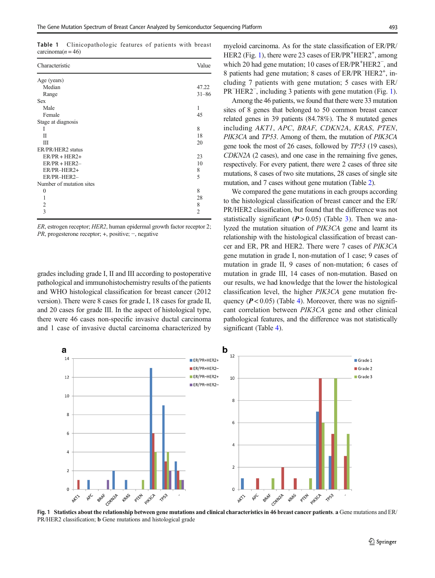<span id="page-2-0"></span>Table 1 Clinicopathologic features of patients with breast  $carcinoma(n = 46)$ 

| Characteristic           | Value          |
|--------------------------|----------------|
| Age (years)              |                |
| Median                   | 47.22          |
| Range                    | $31 - 86$      |
| <b>Sex</b>               |                |
| Male                     | 1              |
| Female                   | 45             |
| Stage at diagnosis       |                |
| I                        | 8              |
| П                        | 18             |
| Ш                        | 20             |
| ER/PR/HER2 status        |                |
| $ER/PR + HER2+$          | 23             |
| $ER/PR + HER2-$          | 10             |
| ER/PR-HER2+              | 8              |
| ER/PR-HER2-              | 5              |
| Number of mutation sites |                |
| $\theta$                 | 8              |
| 1                        | 28             |
| $\overline{c}$           | 8              |
| 3                        | $\overline{2}$ |

ER, estrogen receptor; HER2, human epidermal growth factor receptor 2; PR, progesterone receptor; +, positive; −, negative

grades including grade I, II and III according to postoperative pathological and immunohistochemistry results of the patients and WHO histological classification for breast cancer (2012 version). There were 8 cases for grade I, 18 cases for grade II, and 20 cases for grade III. In the aspect of histological type, there were 46 cases non-specific invasive ductal carcinoma and 1 case of invasive ductal carcinoma characterized by

myeloid carcinoma. As for the state classification of ER/PR/ HER2 (Fig. 1), there were 23 cases of ER/PR<sup>+</sup>HER2<sup>+</sup>, among which 20 had gene mutation; 10 cases of ER/PR<sup>+</sup>HER2<sup>-</sup>, and 8 patients had gene mutation; 8 cases of ER/PR<sup>-</sup>HER2<sup>+</sup>, including 7 patients with gene mutation; 5 cases with ER/ PR<sup>−</sup>HER2<sup>-</sup>, including 3 patients with gene mutation (Fig. 1).

Among the 46 patients, we found that there were 33 mutation sites of 8 genes that belonged to 50 common breast cancer related genes in 39 patients (84.78%). The 8 mutated genes including AKT1, APC, BRAF, CDKN2A, KRAS, PTEN, PIK3CA and TP53. Among of them, the mutation of PIK3CA gene took the most of 26 cases, followed by TP53 (19 cases), CDKN2A (2 cases), and one case in the remaining five genes, respectively. For every patient, there were 2 cases of three site mutations, 8 cases of two site mutations, 28 cases of single site mutation, and 7 cases without gene mutation (Table [2](#page-3-0)).

We compared the gene mutations in each groups according to the histological classification of breast cancer and the ER/ PR/HER2 classification, but found that the difference was not statistically significant  $(P > 0.05)$  (Table [3\)](#page-3-0). Then we analyzed the mutation situation of PIK3CA gene and learnt its relationship with the histological classification of breast cancer and ER, PR and HER2. There were 7 cases of PIK3CA gene mutation in grade I, non-mutation of 1 case; 9 cases of mutation in grade II, 9 cases of non-mutation; 6 cases of mutation in grade III, 14 cases of non-mutation. Based on our results, we had knowledge that the lower the histological classification level, the higher PIK3CA gene mutation frequency ( $P < 0.05$ ) (Table [4](#page-4-0)). Moreover, there was no significant correlation between PIK3CA gene and other clinical pathological features, and the difference was not statistically significant (Table [4](#page-4-0)).



Fig. 1 Statistics about the relationship between gene mutations and clinical characteristics in 46 breast cancer patients. a Gene mutations and ER/ PR/HER2 classification; b Gene mutations and histological grade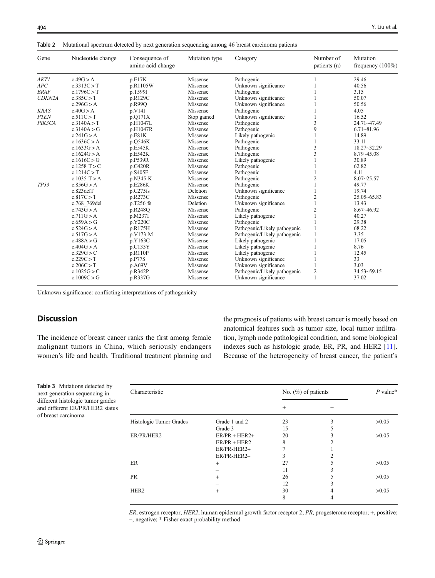<span id="page-3-0"></span>Table 2 Mutational spectrum detected by next generation sequencing among 46 breast carcinoma patients

| Gene        | Nucleotide change | Consequence of<br>amino acid change | Mutation type | Category                     | Number of<br>patients (n) | Mutation<br>frequency $(100\%)$ |
|-------------|-------------------|-------------------------------------|---------------|------------------------------|---------------------------|---------------------------------|
| <b>AKT1</b> | c.49G > A         | p.E17K                              | Missense      | Pathogenic                   |                           | 29.46                           |
| APC         | c.3313C > T       | p.R1105W                            | Missense      | Unknown significance         |                           | 40.56                           |
| <b>BRAF</b> | c.1796C > T       | p.T599I                             | Missense      | Pathogenic                   |                           | 3.15                            |
| CDKN2A      | c.385C > T        | p.R129C                             | Missense      | Unknown significance         |                           | 50.07                           |
|             | c.296G > A        | p.R99Q                              | Missense      | Unknown significance         |                           | 50.56                           |
| <b>KRAS</b> | c.40G > A         | p.V14I                              | Missense      | Pathogenic                   |                           | 4.05                            |
| <b>PTEN</b> | c.511C > T        | p.Q171X                             | Stop gained   | Unknown significance         |                           | 16.52                           |
| PIK3CA      | c.3140A > T       | p.H1047L                            | Missense      | Pathogenic                   | 3                         | 24.71~47.49                     |
|             | c.3140A > G       | p.H1047R                            | Missense      | Pathogenic                   | 9                         | $6.71 - 81.96$                  |
|             | c.241G > A        | p.E81K                              | Missense      | Likely pathogenic            |                           | 14.89                           |
|             | c.1636C > A       | p.0546K                             | Missense      | Pathogenic                   |                           | 33.11                           |
|             | c.1633G > A       | p.E545K                             | Missense      | Pathogenic                   | 3                         | $18.27 - 32.29$                 |
|             | c.1624G > A       | p.E542K                             | Missense      | Pathogenic                   | 3                         | $8.79 - 45.08$                  |
|             | c.1616C $>$ G     | p.P539R                             | Missense      | Likely pathogenic            |                           | 30.89                           |
|             | c.1258 $T > C$    | p.C420R                             | Missense      | Pathogenic                   |                           | 62.82                           |
|             | c.1214C > T       | p.S405F                             | Missense      | Pathogenic                   |                           | 4.11                            |
|             | c.1035 $T > A$    | p.N345 K                            | Missense      | Pathogenic                   | $\overline{c}$            | $8.07 - 25.57$                  |
| TP53        | c.856G > A        | p.E286K                             | Missense      | Pathogenic                   |                           | 49.77                           |
|             | $c.823$ del $T$   | p.C275fs                            | Deletion      | Unknown significance         |                           | 19.74                           |
|             | c.817C > T        | p.R273C                             | Missense      | Pathogenic                   | 2                         | $25.05 - 65.83$                 |
|             | c.768 769del      | p.T256 fs                           | Deletion      | Unknown significance         |                           | 13.43                           |
|             | c.743G > A        | p.R248Q                             | Missense      | Pathogenic                   | $\overline{2}$            | 8.67~46.92                      |
|             | c.711G > A        | p.M237I                             | Missense      | Likely pathogenic            |                           | 40.27                           |
|             | c.659A > G        | p.Y220C                             | Missense      | Pathogenic                   |                           | 29.38                           |
|             | c.524G > A        | p.R175H                             | Missense      | Pathogenic/Likely pathogenic |                           | 68.22                           |
|             | c.517G > A        | p.V173 M                            | Missense      | Pathogenic/Likely pathogenic |                           | 3.35                            |
|             | c.488A > G        | p.Y163C                             | Missense      | Likely pathogenic            |                           | 17.05                           |
|             | c.404G > A        | p.C135Y                             | Missense      | Likely pathogenic            |                           | 8.76                            |
|             | c.329G > C        | p.R110P                             | Missense      | Likely pathogenic            |                           | 12.45                           |
|             | c.229C > T        | p.P77S                              | Missense      | Unknown significance         |                           | 33                              |
|             | c.206C > T        | p.A69V                              | Missense      | Unknown significance         |                           | 3.03                            |
|             | c.1025G > C       | p.R342P                             | Missense      | Pathogenic/Likely pathogenic | 2                         | $34.53 - 59.15$                 |
|             | c.1009C > G       | p.R337G                             | Missense      | Unknown significance         |                           | 37.02                           |

Unknown significance: conflicting interpretations of pathogenicity

# **Discussion**

The incidence of breast cancer ranks the first among female malignant tumors in China, which seriously endangers women's life and health. Traditional treatment planning and the prognosis of patients with breast cancer is mostly based on anatomical features such as tumor size, local tumor infiltration, lymph node pathological condition, and some biological indexes such as histologic grade, ER, PR, and HER2 [\[11\]](#page-6-0). Because of the heterogeneity of breast cancer, the patient's

Table 3 Mutations detected by next generation sequencing in different histologic tumor grades and different ER/PR/HER2 status of breast carcinoma

| Characteristic          |                 | No. $(\%)$ of patients |   | $P$ value* |
|-------------------------|-----------------|------------------------|---|------------|
|                         |                 | $^{+}$                 |   |            |
| Histologic Tumor Grades | Grade 1 and 2   | 23                     | 3 | >0.05      |
|                         | Grade 3         | 15                     |   |            |
| ER/PR/HER2              | $ER/PR + HER2+$ | 20                     | 3 | >0.05      |
|                         | $ER/PR + HER2-$ | 8                      | 2 |            |
|                         | ER/PR-HER2+     |                        |   |            |
|                         | ER/PR-HER2-     |                        | ↑ |            |
| ER                      | $^{+}$          | 27                     |   | >0.05      |
|                         |                 | 11                     | 3 |            |
| <b>PR</b>               | $^{+}$          | 26                     |   | >0.05      |
|                         |                 | 12                     | 3 |            |
| HER <sub>2</sub>        | $^{+}$          | 30                     | 4 | >0.05      |
|                         |                 | 8                      | 4 |            |

ER, estrogen receptor; HER2, human epidermal growth factor receptor 2; PR, progesterone receptor; +, positive; −, negative; \* Fisher exact probability method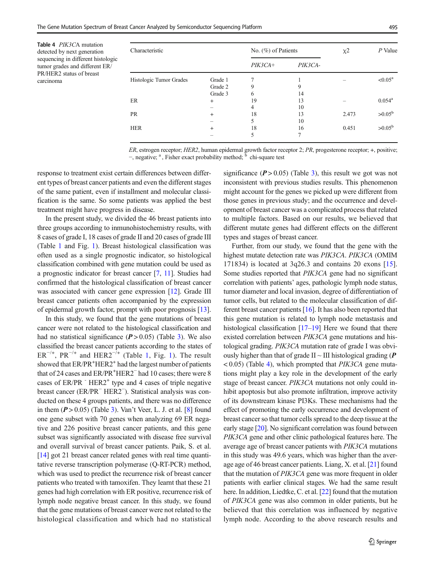<span id="page-4-0"></span>Table 4 PIK3CA mutation detected by next generation sequencing in different histologic tumor grades and different ER/ PR/HER2 status of breast carcinoma

| Characteristic                     |         | No. (%) of Patients |         | $x^2$               | $P$ Value       |
|------------------------------------|---------|---------------------|---------|---------------------|-----------------|
|                                    |         | $PIK3CA+$           | PIK3CA- |                     |                 |
| Histologic Tumor Grades<br>Grade 1 |         |                     |         | $< 0.05^{\text{a}}$ |                 |
|                                    | Grade 2 | 9                   | 9       |                     |                 |
|                                    | Grade 3 | 6                   | 14      |                     |                 |
| ER                                 | $^{+}$  | 19                  | 13      |                     | $0.054^{\rm a}$ |
|                                    |         | 4                   | 10      |                     |                 |
| <b>PR</b>                          | $^{+}$  | 18                  | 13      | 2.473               | $>0.05^{\rm b}$ |
|                                    |         | 5                   | 10      |                     |                 |
| <b>HER</b>                         | $^{+}$  | 18                  | 16      | 0.451               | $>0.05^{\rm b}$ |
|                                    |         | 5                   |         |                     |                 |

ER, estrogen receptor; HER2, human epidermal growth factor receptor 2; PR, progesterone receptor; +, positive; −, negative; <sup>a</sup>, Fisher exact probability method; <sup>b</sup> chi-square test

response to treatment exist certain differences between different types of breast cancer patients and even the different stages of the same patient, even if installment and molecular classification is the same. So some patients was applied the best treatment might have progress in disease.

In the present study, we divided the 46 breast patients into three groups according to inmunohistochemistry results, with 8 cases of grade I, 18 cases of grade II and 20 cases of grade III (Table [1](#page-2-0) and Fig. [1\)](#page-2-0). Breast histological classification was often used as a single prognostic indicator, so histological classification combined with gene mutation could be used as a prognostic indicator for breast cancer [[7,](#page-6-0) [11\]](#page-6-0). Studies had confirmed that the histological classification of breast cancer was associated with cancer gene expression [\[12\]](#page-6-0). Grade III breast cancer patients often accompanied by the expression of epidermal growth factor, prompt with poor prognosis [[13\]](#page-6-0).

In this study, we found that the gene mutations of breast cancer were not related to the histological classification and had no statistical significance  $(P > 0.05)$  (Table [3\)](#page-3-0). We also classified the breast cancer patients according to the states of  $ER^{-/+}$ ,  $PR^{-/+}$  and  $HER2^{-/+}$  (Table [1](#page-2-0), Fig. 1). The result showed that ER/PR<sup>+</sup>HER2<sup>+</sup> had the largest number of patients that of 24 cases and ER/PR<sup>+</sup>HER2<sup>-</sup> had 10 cases; there were 8 cases of  $ER/PR$   $\cdot$   $HER2^+$  type and 4 cases of triple negative breast cancer (ER/PR<sup>−</sup> HER2<sup>−</sup> ). Statistical analysis was conducted on these 4 groups patients, and there was no difference in them  $(P > 0.05)$  (Table [3\)](#page-3-0). Van't Veer, L. J. et al. [[8\]](#page-6-0) found one gene subset with 70 genes when analyzing 69 ER negative and 226 positive breast cancer patients, and this gene subset was significantly associated with disease free survival and overall survival of breast cancer patients. Paik, S. et al. [\[14\]](#page-6-0) got 21 breast cancer related genes with real time quantitative reverse transcription polymerase (Q-RT-PCR) method, which was used to predict the recurrence risk of breast cancer patients who treated with tamoxifen. They learnt that these 21 genes had high correlation with ER positive, recurrence risk of lymph node negative breast cancer. In this study, we found that the gene mutations of breast cancer were not related to the histological classification and which had no statistical significance  $(P > 0.05)$  (Table [3](#page-3-0)), this result we got was not inconsistent with previous studies results. This phenomenon might account for the genes we picked up were different from those genes in previous study; and the occurrence and development of breast cancer was a complicated process that related to multiple factors. Based on our results, we believed that different mutate genes had different effects on the different types and stages of breast cancer.

Further, from our study, we found that the gene with the highest mutate detection rate was PIK3CA. PIK3CA (OMIM 171834) is located at 3q26.3 and contains 20 exons [\[15](#page-6-0)]. Some studies reported that PIK3CA gene had no significant correlation with patients' ages, pathologic lymph node status, tumor diameter and local invasion, degree of differentiation of tumor cells, but related to the molecular classification of different breast cancer patients [[16](#page-6-0)]. It has also been reported that this gene mutation is related to lymph node metastasis and histological classification  $[17-19]$  $[17-19]$  $[17-19]$  $[17-19]$  Here we found that there existed correlation between *PIK3CA* gene mutations and histological grading. PIK3CA mutation rate of grade I was obviously higher than that of grade  $II \sim III$  histological grading ( $\bm{P}$  $(0.05)$  (Table 4), which prompted that *PIK3CA* gene mutations might play a key role in the development of the early stage of breast cancer. PIK3CA mutations not only could inhibit apoptosis but also promote infiltration, improve activity of its downstream kinase PI3Ks. These mechanisms had the effect of promoting the early occurrence and development of breast cancer so that tumor cells spread to the deep tissue at the early stage [\[20](#page-6-0)]. No significant correlation was found between PIK3CA gene and other clinic pathological features here. The average age of breast cancer patients with PIK3CA mutations in this study was 49.6 years, which was higher than the average age of 46 breast cancer patients. Liang, X. et al. [[21](#page-6-0)] found that the mutation of PIK3CA gene was more frequent in older patients with earlier clinical stages. We had the same result here. In addition, Liedtke, C. et al. [[22](#page-6-0)] found that the mutation of PIK3CA gene was also common in older patients, but he believed that this correlation was influenced by negative lymph node. According to the above research results and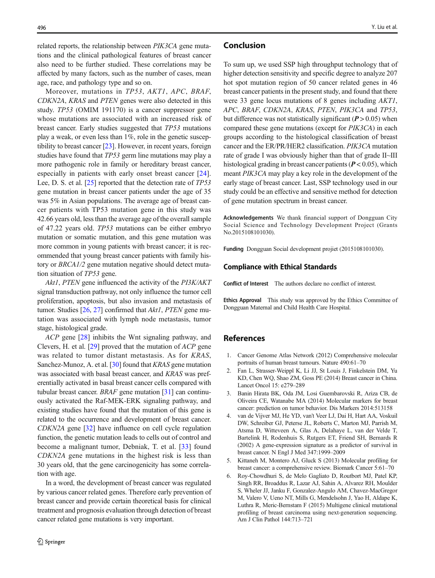<span id="page-5-0"></span>related reports, the relationship between PIK3CA gene mutations and the clinical pathological features of breast cancer also need to be further studied. These correlations may be affected by many factors, such as the number of cases, mean age, race, and pathology type and so on.

Moreover, mutations in TP53, AKT1, APC, BRAF, CDKN2A, KRAS and PTEN genes were also detected in this study. TP53 (OMIM 191170) is a cancer suppressor gene whose mutations are associated with an increased risk of breast cancer. Early studies suggested that TP53 mutations play a weak, or even less than 1%, role in the genetic susceptibility to breast cancer [[23\]](#page-6-0). However, in recent years, foreign studies have found that TP53 germ line mutations may play a more pathogenic role in family or hereditary breast cancer, especially in patients with early onset breast cancer [\[24](#page-6-0)]. Lee, D. S. et al. [\[25\]](#page-6-0) reported that the detection rate of TP53 gene mutation in breast cancer patients under the age of 35 was 5% in Asian populations. The average age of breast cancer patients with TP53 mutation gene in this study was 42.66 years old, less than the average age of the overall sample of 47.22 years old. TP53 mutations can be either embryo mutation or somatic mutation, and this gene mutation was more common in young patients with breast cancer; it is recommended that young breast cancer patients with family history or BRCA1/2 gene mutation negative should detect mutation situation of TP53 gene.

Akt1, PTEN gene influenced the activity of the PI3K/AKT signal transduction pathway, not only influence the tumor cell proliferation, apoptosis, but also invasion and metastasis of tumor. Studies [\[26,](#page-6-0) [27\]](#page-6-0) confirmed that Akt1, PTEN gene mutation was associated with lymph node metastasis, tumor stage, histological grade.

ACP gene [\[28](#page-6-0)] inhibits the Wnt signaling pathway, and Clevers, H. et al. [\[29](#page-6-0)] proved that the mutation of ACP gene was related to tumor distant metastasis. As for KRAS, Sanchez-Munoz, A. et al. [\[30\]](#page-6-0) found that *KRAS* gene mutation was associated with basal breast cancer, and KRAS was preferentially activated in basal breast cancer cells compared with tubular breast cancer. BRAF gene mutation [[31\]](#page-6-0) can continuously activated the Raf-MEK-ERK signaling pathway, and existing studies have found that the mutation of this gene is related to the occurrence and development of breast cancer. CDKN2A gene [\[32](#page-6-0)] have influence on cell cycle regulation function, the genetic mutation leads to cells out of control and become a malignant tumor, Debniak, T. et al. [\[33\]](#page-6-0) found CDKN2A gene mutations in the highest risk is less than 30 years old, that the gene carcinogenicity has some correlation with age.

In a word, the development of breast cancer was regulated by various cancer related genes. Therefore early prevention of breast cancer and provide certain theoretical basis for clinical treatment and prognosis evaluation through detection of breast cancer related gene mutations is very important.

#### Conclusion

To sum up, we used SSP high throughput technology that of higher detection sensitivity and specific degree to analyze 207 hot spot mutation region of 50 cancer related genes in 46 breast cancer patients in the present study, and found that there were 33 gene locus mutations of 8 genes including AKT1, APC, BRAF, CDKN2A, KRAS, PTEN, PIK3CA and TP53, but difference was not statistically significant ( $P > 0.05$ ) when compared these gene mutations (except for PIK3CA) in each groups according to the histological classification of breast cancer and the ER/PR/HER2 classification. PIK3CA mutation rate of grade I was obviously higher than that of grade II~III histological grading in breast cancer patients ( $P < 0.05$ ), which meant PIK3CA may play a key role in the development of the early stage of breast cancer. Last, SSP technology used in our study could be an effective and sensitive method for detection of gene mutation spectrum in breast cancer.

Acknowledgements We thank financial support of Dongguan City Social Science and Technology Development Project (Grants No.2015108101030).

Funding Dongguan Social development projiet (2015108101030).

#### Compliance with Ethical Standards

Conflict of Interest The authors declare no conflict of interest.

Ethics Approval This study was approved by the Ethics Committee of Dongguan Maternal and Child Health Care Hospital.

## References

- 1. Cancer Genome Atlas Network (2012) Comprehensive molecular portraits of human breast tumours. Nature 490:61–70
- 2. Fan L, Strasser-Weippl K, Li JJ, St Louis J, Finkelstein DM, Yu KD, Chen WQ, Shao ZM, Goss PE (2014) Breast cancer in China. Lancet Oncol 15: e279–289
- 3. Banin Hirata BK, Oda JM, Losi Guembarovski R, Ariza CB, de Oliveira CE, Watanabe MA (2014) Molecular markers for breast cancer: prediction on tumor behavior. Dis Markers 2014:513158
- 4. van de Vijver MJ, He YD, van't Veer LJ, Dai H, Hart AA, Voskuil DW, Schreiber GJ, Peterse JL, Roberts C, Marton MJ, Parrish M, Atsma D, Witteveen A, Glas A, Delahaye L, van der Velde T, Bartelink H, Rodenhuis S, Rutgers ET, Friend SH, Bernards R (2002) A gene-expression signature as a predictor of survival in breast cancer. N Engl J Med 347:1999–2009
- 5. Kittaneh M, Montero AJ, Gluck S (2013) Molecular profiling for breast cancer: a comprehensive review. Biomark Cancer 5:61–70
- 6. Roy-Chowdhuri S, de Melo Gagliato D, Routbort MJ, Patel KP, Singh RR, Broaddus R, Lazar AJ, Sahin A, Alvarez RH, Moulder S, Wheler JJ, Janku F, Gonzalez-Angulo AM, Chavez-MacGregor M, Valero V, Ueno NT, Mills G, Mendelsohn J, Yao H, Aldape K, Luthra R, Meric-Bernstam F (2015) Multigene clinical mutational profiling of breast carcinoma using next-generation sequencing. Am J Clin Pathol 144:713–721